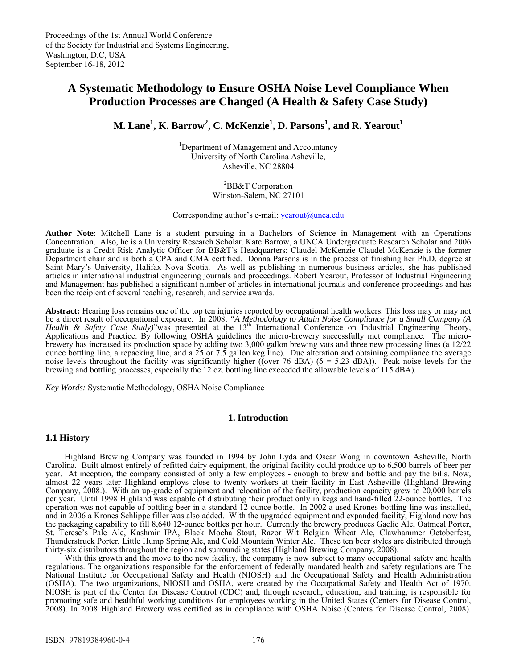# **A Systematic Methodology to Ensure OSHA Noise Level Compliance When Production Processes are Changed (A Health & Safety Case Study)**

 $\mathbf{M}$ . Lane $^1$ ,  $\mathbf{K}$ . Barrow $^2$ ,  $\mathbf{C}$ . McKenzie $^1$ ,  $\mathbf{D}$ . Parsons $^1$ , and  $\mathbf{R}$ . Yearout $^1$ 

<sup>1</sup>Department of Management and Accountancy University of North Carolina Asheville, Asheville, NC 28804

> <sup>2</sup>BB&T Corporation Winston-Salem, NC 27101

Corresponding author's e-mail:  $\text{year}(a)$ unca.edu

**Author Note**: Mitchell Lane is a student pursuing in a Bachelors of Science in Management with an Operations Concentration. Also, he is a University Research Scholar. Kate Barrow, a UNCA Undergraduate Research Scholar and 2006 graduate is a Credit Risk Analytic Officer for BB&T's Headquarters; Claudel McKenzie Claudel McKenzie is the former Department chair and is both a CPA and CMA certified. Donna Parsons is in the process of finishing her Ph.D. degree at Saint Mary's University, Halifax Nova Scotia. As well as publishing in numerous business articles, she has published articles in international industrial engineering journals and proceedings. Robert Yearout, Professor of Industrial Engineering and Management has published a significant number of articles in international journals and conference proceedings and has been the recipient of several teaching, research, and service awards.

**Abstract:** Hearing loss remains one of the top ten injuries reported by occupational health workers. This loss may or may not be a direct result of occupational exposure. In 2008, *"A Methodology to Attain Noise Compliance for a Small Company (A Health & Safety Case Study)*"was presented at the 13<sup>th</sup> International Conference on Industrial Engineering Theory, Applications and Practice. By following OSHA guidelines the micro-brewery successfully met compliance. The microbrewery has increased its production space by adding two 3,000 gallon brewing vats and three new processing lines (a 12/22 ounce bottling line, a repacking line, and a 25 or 7.5 gallon keg line). Due alteration and obtaining compliance the average noise levels throughout the facility was significantly higher ((over 76 dBA) ( $\delta$  = 5.23 dBA)). Peak noise levels for the brewing and bottling processes, especially the 12 oz. bottling line exceeded the allowable levels of 115 dBA).

*Key Words:* Systematic Methodology, OSHA Noise Compliance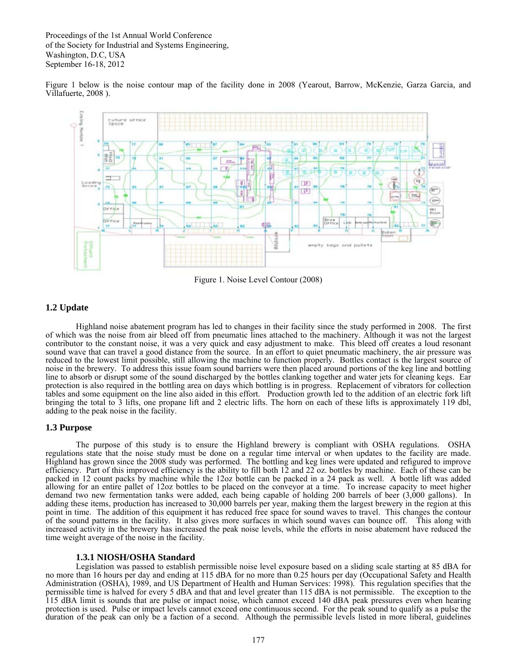Figure 1 below is the noise contour map of the facility done in 2008 (Yearout, Barrow, McKenzie, Garza Garcia, and Villafuerte, 2008 ).



Figure 1. Noise Level Contour (2008)

# **1.2 Update**

Highland noise abatement program has led to changes in their facility since the study performed in 2008. The first of which was the noise from air bleed off from pneumatic lines attached to the machinery. Although it was not the largest contributor to the constant noise, it was a very quick and easy adjustment to make. This bleed off creates a loud resonant sound wave that can travel a good distance from the source. In an effort to quiet pneumatic machinery, the air pressure was reduced to the lowest limit possible, still allowing the machine to function properly. Bottles contact is the largest source of noise in the brewery. To address this issue foam sound barriers were then placed around portions of the keg line and bottling line to absorb or disrupt some of the sound discharged by the bottles clanking together and water jets for cleaning kegs. Ear protection is also required in the bottling area on days which bottling is in progress. Replacement of vibrators for collection tables and some equipment on the line also aided in this effort. Production growth led to the addition of an electric fork lift bringing the total to 3 lifts, one propane lift and 2 electric lifts. The horn on each of these lifts is approximately 119 dbl, adding to the peak noise in the facility.

# **1.3 Purpose**

The purpose of this study is to ensure the Highland brewery is compliant with OSHA regulations. OSHA regulations state that the noise study must be done on a regular time interval or when updates to the facility are made. Highland has grown since the 2008 study was performed. The bottling and keg lines were updated and refigured to improve efficiency. Part of this improved efficiency is the ability to fill both 12 and 22 oz. bottles by machine. Each of these can be packed in 12 count packs by machine while the 12oz bottle can be packed in a 24 pack as well. A bottle lift was added allowing for an entire pallet of 12oz bottles to be placed on the conveyor at a time. To increase capacity to meet higher demand two new fermentation tanks were added, each being capable of holding 200 barrels of beer (3,000 gallons). In adding these items, production has increased to 30,000 barrels per year, making them the largest brewery in the region at this point in time. The addition of this equipment it has reduced free space for sound waves to travel. This changes the contour of the sound patterns in the facility. It also gives more surfaces in which sound waves can bounce off. This along with increased activity in the brewery has increased the peak noise levels, while the efforts in noise abatement have reduced the time weight average of the noise in the facility.

## **1.3.1 NIOSH/OSHA Standard**

Legislation was passed to establish permissible noise level exposure based on a sliding scale starting at 85 dBA for no more than 16 hours per day and ending at 115 dBA for no more than 0.25 hours per day (Occupational Safety and Health Administration (OSHA), 1989, and US Department of Health and Human Services: 1998). This regulation specifies that the permissible time is halved for every 5 dBA and that and level greater than 115 dBA is not permissible. The exception to the 115 dBA limit is sounds that are pulse or impact noise, which cannot exceed 140 dBA peak pressures even when hearing protection is used. Pulse or impact levels cannot exceed one continuous second. For the peak sound to qualify as a pulse the duration of the peak can only be a faction of a second. Although the permissible levels listed in more liberal, guidelines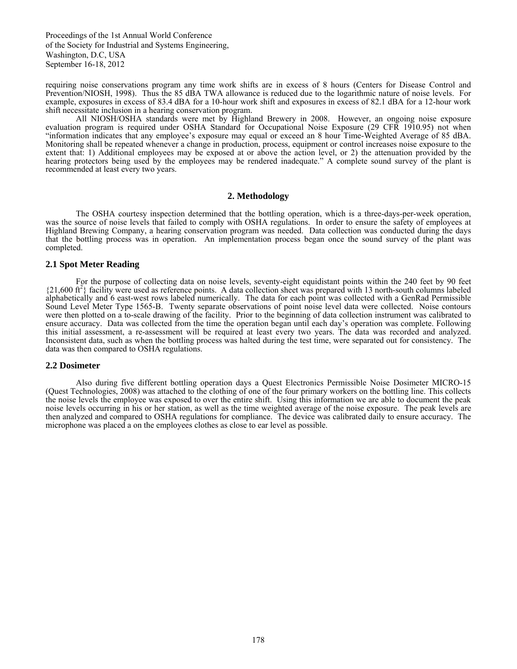requiring noise conservations program any time work shifts are in excess of 8 hours (Centers for Disease Control and Prevention/NIOSH, 1998). Thus the 85 dBA TWA allowance is reduced due to the logarithmic nature of noise levels. For example, exposures in excess of 83.4 dBA for a 10-hour work shift and exposures in excess of 82.1 dBA for a 12-hour work shift necessitate inclusion in a hearing conservation program.

 All NIOSH/OSHA standards were met by Highland Brewery in 2008. However, an ongoing noise exposure evaluation program is required under OSHA Standard for Occupational Noise Exposure (29 CFR 1910.95) not when "information indicates that any employee's exposure may equal or exceed an 8 hour Time-Weighted Average of 85 dBA. Monitoring shall be repeated whenever a change in production, process, equipment or control increases noise exposure to the extent that: 1) Additional employees may be exposed at or above the action level, or 2) the attenuation provided by the hearing protectors being used by the employees may be rendered inadequate." A complete sound survey of the plant is recommended at least every two years.

#### **2. Methodology**

 The OSHA courtesy inspection determined that the bottling operation, which is a three-days-per-week operation, was the source of noise levels that failed to comply with OSHA regulations. In order to ensure the safety of employees at Highland Brewing Company, a hearing conservation program was needed. Data collection was conducted during the days that the bottling process was in operation. An implementation process began once the sound survey of the plant was completed.

## **2.1 Spot Meter Reading**

 For the purpose of collecting data on noise levels, seventy-eight equidistant points within the 240 feet by 90 feet {21,600 ft2 } facility were used as reference points. A data collection sheet was prepared with 13 north-south columns labeled alphabetically and 6 east-west rows labeled numerically. The data for each point was collected with a GenRad Permissible Sound Level Meter Type 1565-B. Twenty separate observations of point noise level data were collected. Noise contours were then plotted on a to-scale drawing of the facility. Prior to the beginning of data collection instrument was calibrated to ensure accuracy. Data was collected from the time the operation began until each day's operation was complete. Following this initial assessment, a re-assessment will be required at least every two years. The data was recorded and analyzed. Inconsistent data, such as when the bottling process was halted during the test time, were separated out for consistency. The data was then compared to OSHA regulations.

#### **2.2 Dosimeter**

 Also during five different bottling operation days a Quest Electronics Permissible Noise Dosimeter MICRO-15 (Quest Technologies, 2008) was attached to the clothing of one of the four primary workers on the bottling line. This collects the noise levels the employee was exposed to over the entire shift. Using this information we are able to document the peak noise levels occurring in his or her station, as well as the time weighted average of the noise exposure. The peak levels are then analyzed and compared to OSHA regulations for compliance. The device was calibrated daily to ensure accuracy. The microphone was placed a on the employees clothes as close to ear level as possible.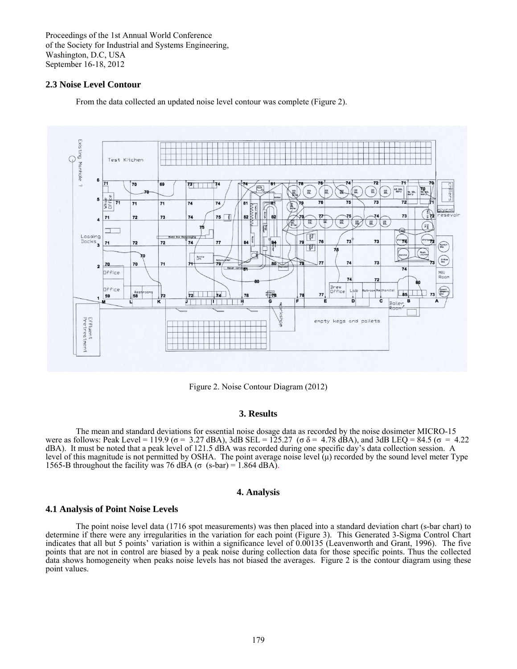## **2.3 Noise Level Contour**

From the data collected an updated noise level contour was complete (Figure 2).



Figure 2. Noise Contour Diagram (2012)

## **3. Results**

The mean and standard deviations for essential noise dosage data as recorded by the noise dosimeter MICRO-15 were as follows: Peak Level = 119.9 (σ = 3.27 dBA), 3dB SEL = 125.27 (σ δ = 4.78 dBA), and 3dB LEQ = 84.5 (σ = 4.22 dBA). It must be noted that a peak level of 121.5 dBA was recorded during one specific day's data collection session. A level of this magnitude is not permitted by OSHA. The point average noise level  $(\mu)$  recorded by the sound level meter Type 1565-B throughout the facility was 76 dBA ( $\sigma$  (s-bar) = 1.864 dBA).

## **4. Analysis**

#### **4.1 Analysis of Point Noise Levels**

 The point noise level data (1716 spot measurements) was then placed into a standard deviation chart (s-bar chart) to determine if there were any irregularities in the variation for each point (Figure 3). This Generated 3-Sigma Control Chart indicates that all but 5 points' variation is within a significance level of 0.00135 (Leavenworth and Grant, 1996). The five points that are not in control are biased by a peak noise during collection data for those specific points. Thus the collected data shows homogeneity when peaks noise levels has not biased the averages. Figure 2 is the contour diagram using these point values.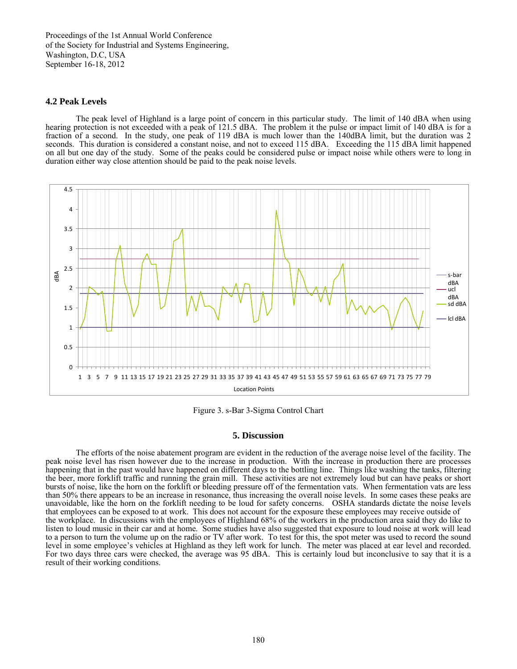## **4.2 Peak Levels**

 The peak level of Highland is a large point of concern in this particular study. The limit of 140 dBA when using hearing protection is not exceeded with a peak of 121.5 dBA. The problem it the pulse or impact limit of 140 dBA is for a fraction of a second. In the study, one peak of 119 dBA is much lower than the 140dBA limit, but the duration was 2 seconds. This duration is considered a constant noise, and not to exceed 115 dBA. Exceeding the 115 dBA limit happened on all but one day of the study. Some of the peaks could be considered pulse or impact noise while others were to long in duration either way close attention should be paid to the peak noise levels.



Figure 3. s-Bar 3-Sigma Control Chart

#### **5. Discussion**

 The efforts of the noise abatement program are evident in the reduction of the average noise level of the facility. The peak noise level has risen however due to the increase in production. With the increase in production there are processes happening that in the past would have happened on different days to the bottling line. Things like washing the tanks, filtering the beer, more forklift traffic and running the grain mill. These activities are not extremely loud but can have peaks or short bursts of noise, like the horn on the forklift or bleeding pressure off of the fermentation vats. When fermentation vats are less than 50% there appears to be an increase in resonance, thus increasing the overall noise levels. In some cases these peaks are unavoidable, like the horn on the forklift needing to be loud for safety concerns. OSHA standards dictate the noise levels that employees can be exposed to at work. This does not account for the exposure these employees may receive outside of the workplace. In discussions with the employees of Highland 68% of the workers in the production area said they do like to listen to loud music in their car and at home. Some studies have also suggested that exposure to loud noise at work will lead to a person to turn the volume up on the radio or TV after work. To test for this, the spot meter was used to record the sound level in some employee's vehicles at Highland as they left work for lunch. The meter was placed at ear level and recorded. For two days three cars were checked, the average was 95 dBA. This is certainly loud but inconclusive to say that it is a result of their working conditions.